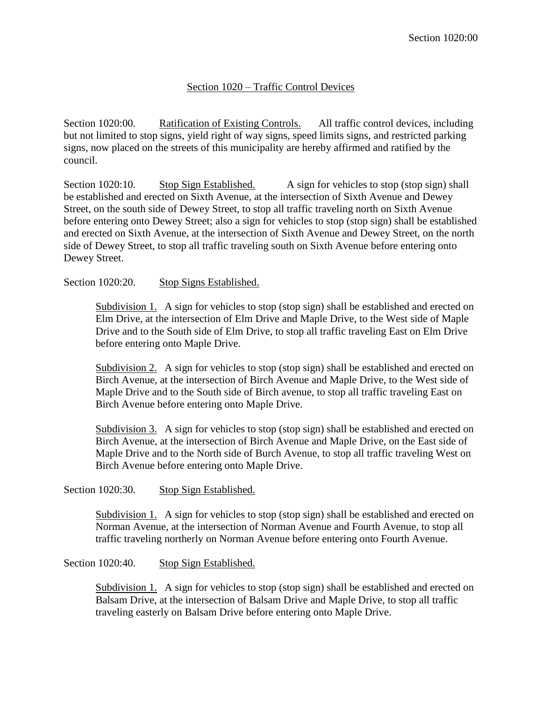## Section 1020 – Traffic Control Devices

Section 1020:00. Ratification of Existing Controls. All traffic control devices, including but not limited to stop signs, yield right of way signs, speed limits signs, and restricted parking signs, now placed on the streets of this municipality are hereby affirmed and ratified by the council.

Section 1020:10. Stop Sign Established. A sign for vehicles to stop (stop sign) shall be established and erected on Sixth Avenue, at the intersection of Sixth Avenue and Dewey Street, on the south side of Dewey Street, to stop all traffic traveling north on Sixth Avenue before entering onto Dewey Street; also a sign for vehicles to stop (stop sign) shall be established and erected on Sixth Avenue, at the intersection of Sixth Avenue and Dewey Street, on the north side of Dewey Street, to stop all traffic traveling south on Sixth Avenue before entering onto Dewey Street.

## Section 1020:20. Stop Signs Established.

Subdivision 1. A sign for vehicles to stop (stop sign) shall be established and erected on Elm Drive, at the intersection of Elm Drive and Maple Drive, to the West side of Maple Drive and to the South side of Elm Drive, to stop all traffic traveling East on Elm Drive before entering onto Maple Drive.

Subdivision 2. A sign for vehicles to stop (stop sign) shall be established and erected on Birch Avenue, at the intersection of Birch Avenue and Maple Drive, to the West side of Maple Drive and to the South side of Birch avenue, to stop all traffic traveling East on Birch Avenue before entering onto Maple Drive.

Subdivision 3. A sign for vehicles to stop (stop sign) shall be established and erected on Birch Avenue, at the intersection of Birch Avenue and Maple Drive, on the East side of Maple Drive and to the North side of Burch Avenue, to stop all traffic traveling West on Birch Avenue before entering onto Maple Drive.

## Section 1020:30. Stop Sign Established.

Subdivision 1. A sign for vehicles to stop (stop sign) shall be established and erected on Norman Avenue, at the intersection of Norman Avenue and Fourth Avenue, to stop all traffic traveling northerly on Norman Avenue before entering onto Fourth Avenue.

## Section 1020:40. Stop Sign Established.

Subdivision 1. A sign for vehicles to stop (stop sign) shall be established and erected on Balsam Drive, at the intersection of Balsam Drive and Maple Drive, to stop all traffic traveling easterly on Balsam Drive before entering onto Maple Drive.